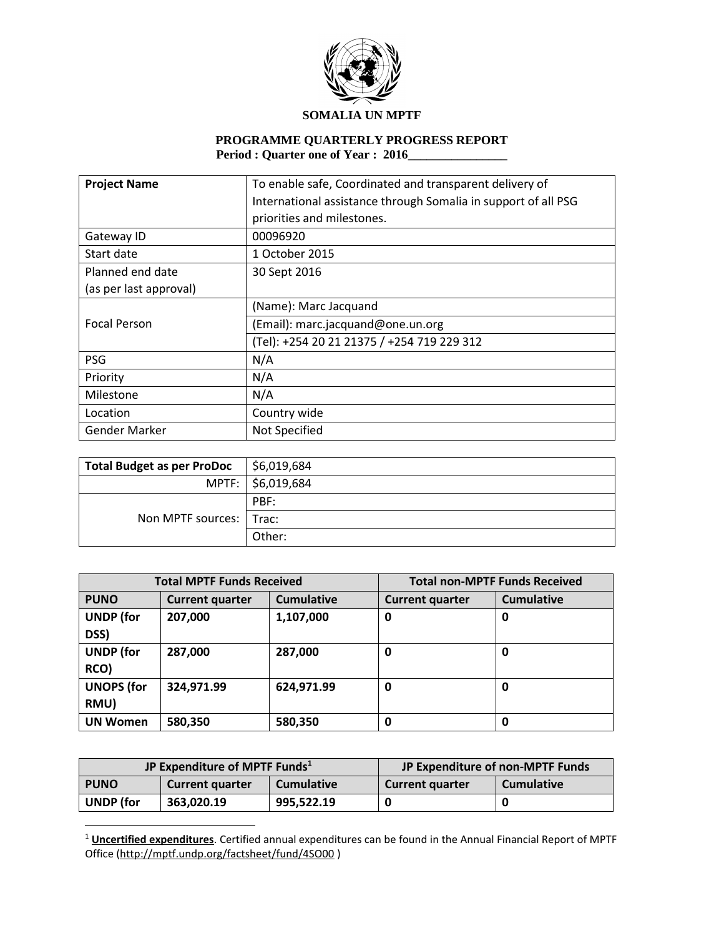

# **PROGRAMME QUARTERLY PROGRESS REPORT Period : Quarter one of Year : 2016\_\_\_\_\_\_\_\_\_\_\_\_\_\_\_\_**

| <b>Project Name</b>    | To enable safe, Coordinated and transparent delivery of        |  |
|------------------------|----------------------------------------------------------------|--|
|                        | International assistance through Somalia in support of all PSG |  |
|                        | priorities and milestones.                                     |  |
| Gateway ID             | 00096920                                                       |  |
| Start date             | 1 October 2015                                                 |  |
| Planned end date       | 30 Sept 2016                                                   |  |
| (as per last approval) |                                                                |  |
|                        | (Name): Marc Jacquand                                          |  |
| <b>Focal Person</b>    | (Email): marc.jacquand@one.un.org                              |  |
|                        | (Tel): +254 20 21 21375 / +254 719 229 312                     |  |
| <b>PSG</b>             | N/A                                                            |  |
| Priority               | N/A                                                            |  |
| Milestone              | N/A                                                            |  |
| Location               | Country wide                                                   |  |
| Gender Marker          | Not Specified                                                  |  |

| <b>Total Budget as per ProDoc</b> | \$6,019,684       |
|-----------------------------------|-------------------|
|                                   | MPTF: \$6,019,684 |
|                                   | PBF:              |
| Non MPTF sources:   Trac:         |                   |
|                                   | Other:            |

| <b>Total MPTF Funds Received</b> |                        |                   | <b>Total non-MPTF Funds Received</b> |                   |
|----------------------------------|------------------------|-------------------|--------------------------------------|-------------------|
| <b>PUNO</b>                      | <b>Current quarter</b> | <b>Cumulative</b> | <b>Current quarter</b>               | <b>Cumulative</b> |
| <b>UNDP</b> (for<br>DSS)         | 207,000                | 1,107,000         | 0                                    | 0                 |
| <b>UNDP</b> (for<br>RCO)         | 287,000                | 287,000           | 0                                    | 0                 |
| <b>UNOPS (for</b><br>RMU)        | 324,971.99             | 624,971.99        | 0                                    | 0                 |
| <b>UN Women</b>                  | 580,350                | 580,350           | 0                                    | 0                 |

| JP Expenditure of MPTF Funds <sup>1</sup> |                        | JP Expenditure of non-MPTF Funds |                        |                   |
|-------------------------------------------|------------------------|----------------------------------|------------------------|-------------------|
| <b>PUNO</b>                               | <b>Current quarter</b> | <b>Cumulative</b>                | <b>Current quarter</b> | <b>Cumulative</b> |
| <b>UNDP</b> (for                          | 363.020.19             | 995,522.19                       |                        |                   |

 $\overline{a}$ 

<sup>1</sup> **Uncertified expenditures**. Certified annual expenditures can be found in the Annual Financial Report of MPTF Office [\(http://mptf.undp.org/factsheet/fund/4SO00](http://mptf.undp.org/factsheet/fund/4SO00) )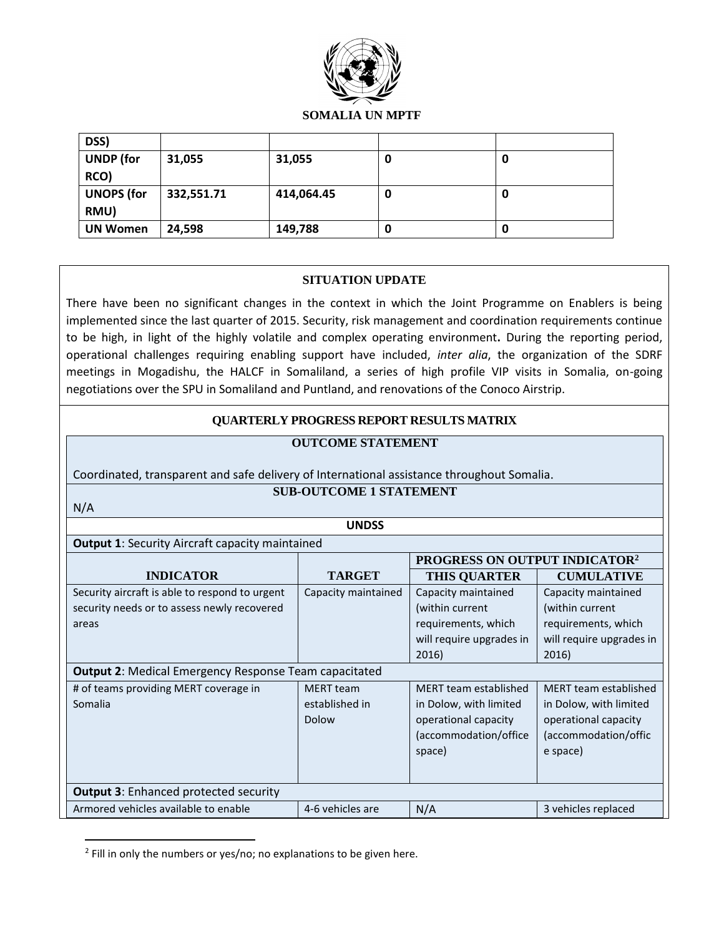

| DSS)              |            |            |   |   |
|-------------------|------------|------------|---|---|
| <b>UNDP</b> (for  | 31,055     | 31,055     | u | O |
| RCO)              |            |            |   |   |
| <b>UNOPS (for</b> | 332,551.71 | 414,064.45 | U | 0 |
| RMU)              |            |            |   |   |
| <b>UN Women</b>   | 24,598     | 149,788    | U | 0 |

#### **SITUATION UPDATE**

There have been no significant changes in the context in which the Joint Programme on Enablers is being implemented since the last quarter of 2015. Security, risk management and coordination requirements continue to be high, in light of the highly volatile and complex operating environment**.** During the reporting period, operational challenges requiring enabling support have included, *inter alia*, the organization of the SDRF meetings in Mogadishu, the HALCF in Somaliland, a series of high profile VIP visits in Somalia, on-going negotiations over the SPU in Somaliland and Puntland, and renovations of the Conoco Airstrip.

## **QUARTERLY PROGRESS REPORT RESULTS MATRIX**

# **OUTCOME STATEMENT**

# Coordinated, transparent and safe delivery of International assistance throughout Somalia.

N/A

 $\overline{\phantom{a}}$ 

**SUB-OUTCOME 1 STATEMENT**

| <b>UNDSS</b>                                           |                                                              |                                           |                          |
|--------------------------------------------------------|--------------------------------------------------------------|-------------------------------------------|--------------------------|
| <b>Output 1: Security Aircraft capacity maintained</b> |                                                              |                                           |                          |
|                                                        |                                                              | PROGRESS ON OUTPUT INDICATOR <sup>2</sup> |                          |
| <b>INDICATOR</b>                                       | <b>TARGET</b>                                                | <b>THIS QUARTER</b>                       | <b>CUMULATIVE</b>        |
| Security aircraft is able to respond to urgent         | Capacity maintained                                          | Capacity maintained                       | Capacity maintained      |
| security needs or to assess newly recovered            |                                                              | (within current)                          | (within current          |
| areas                                                  |                                                              | requirements, which                       | requirements, which      |
|                                                        |                                                              | will require upgrades in                  | will require upgrades in |
|                                                        |                                                              | 2016)                                     | 2016)                    |
|                                                        | <b>Output 2: Medical Emergency Response Team capacitated</b> |                                           |                          |
| # of teams providing MERT coverage in                  | <b>MERT</b> team                                             | MERT team established                     | MERT team established    |
| Somalia                                                | established in                                               | in Dolow, with limited                    | in Dolow, with limited   |
|                                                        | Dolow                                                        | operational capacity                      | operational capacity     |
|                                                        |                                                              | (accommodation/office)                    | (accommodation/offic     |
|                                                        |                                                              | space)                                    | e space)                 |
|                                                        |                                                              |                                           |                          |
| <b>Output 3: Enhanced protected security</b>           |                                                              |                                           |                          |
| Armored vehicles available to enable                   | 4-6 vehicles are                                             | N/A                                       | 3 vehicles replaced      |

<sup>&</sup>lt;sup>2</sup> Fill in only the numbers or yes/no; no explanations to be given here.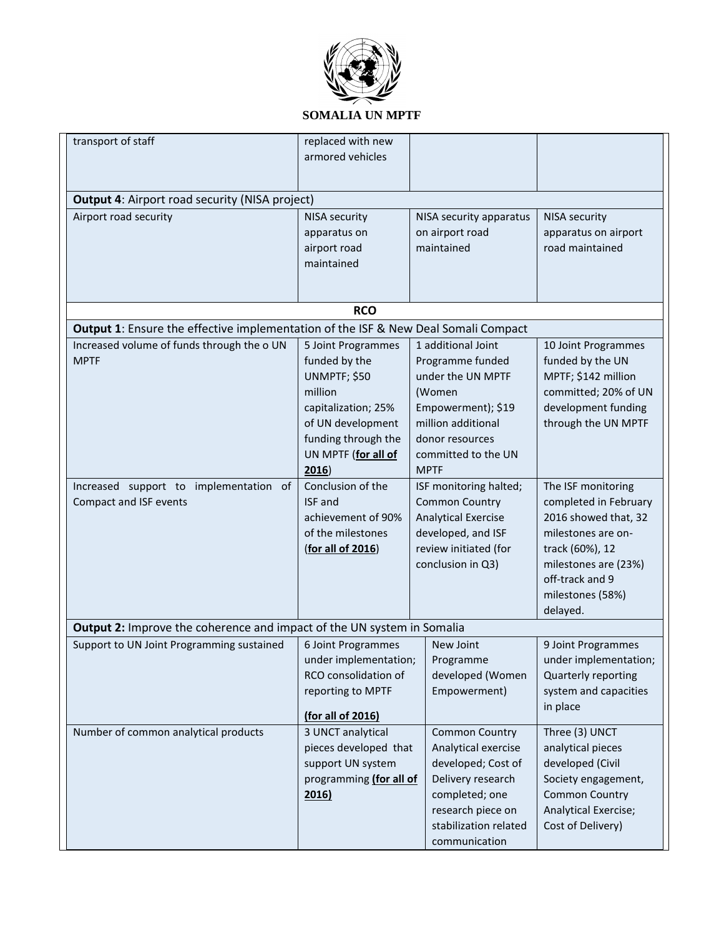

| transport of staff                                                                 | replaced with new       |                            |                       |
|------------------------------------------------------------------------------------|-------------------------|----------------------------|-----------------------|
|                                                                                    | armored vehicles        |                            |                       |
|                                                                                    |                         |                            |                       |
|                                                                                    |                         |                            |                       |
| <b>Output 4: Airport road security (NISA project)</b>                              |                         |                            |                       |
| Airport road security                                                              | <b>NISA security</b>    | NISA security apparatus    | <b>NISA security</b>  |
|                                                                                    | apparatus on            | on airport road            | apparatus on airport  |
|                                                                                    | airport road            | maintained                 | road maintained       |
|                                                                                    | maintained              |                            |                       |
|                                                                                    |                         |                            |                       |
|                                                                                    |                         |                            |                       |
|                                                                                    | <b>RCO</b>              |                            |                       |
| Output 1: Ensure the effective implementation of the ISF & New Deal Somali Compact |                         |                            |                       |
| Increased volume of funds through the o UN                                         | 5 Joint Programmes      | 1 additional Joint         | 10 Joint Programmes   |
| <b>MPTF</b>                                                                        | funded by the           | Programme funded           | funded by the UN      |
|                                                                                    | UNMPTF; \$50            | under the UN MPTF          | MPTF; \$142 million   |
|                                                                                    | million                 | (Women                     | committed; 20% of UN  |
|                                                                                    | capitalization; 25%     | Empowerment); \$19         | development funding   |
|                                                                                    | of UN development       | million additional         | through the UN MPTF   |
|                                                                                    | funding through the     | donor resources            |                       |
|                                                                                    | UN MPTF (for all of     | committed to the UN        |                       |
|                                                                                    | 2016                    | <b>MPTF</b>                |                       |
| Increased support to implementation<br>of                                          | Conclusion of the       | ISF monitoring halted;     | The ISF monitoring    |
| Compact and ISF events                                                             | <b>ISF</b> and          | <b>Common Country</b>      | completed in February |
|                                                                                    | achievement of 90%      | <b>Analytical Exercise</b> | 2016 showed that, 32  |
|                                                                                    | of the milestones       | developed, and ISF         | milestones are on-    |
|                                                                                    | (for all of 2016)       | review initiated (for      | track (60%), 12       |
|                                                                                    |                         | conclusion in Q3)          | milestones are (23%)  |
|                                                                                    |                         |                            | off-track and 9       |
|                                                                                    |                         |                            | milestones (58%)      |
|                                                                                    |                         |                            | delayed.              |
| Output 2: Improve the coherence and impact of the UN system in Somalia             |                         |                            |                       |
| Support to UN Joint Programming sustained                                          | 6 Joint Programmes      | New Joint                  | 9 Joint Programmes    |
|                                                                                    | under implementation;   | Programme                  | under implementation; |
|                                                                                    | RCO consolidation of    | developed (Women           | Quarterly reporting   |
|                                                                                    | reporting to MPTF       | Empowerment)               | system and capacities |
|                                                                                    |                         |                            | in place              |
|                                                                                    | (for all of 2016)       |                            |                       |
| Number of common analytical products                                               | 3 UNCT analytical       | <b>Common Country</b>      | Three (3) UNCT        |
|                                                                                    | pieces developed that   | Analytical exercise        | analytical pieces     |
|                                                                                    | support UN system       | developed; Cost of         | developed (Civil      |
|                                                                                    | programming (for all of | Delivery research          | Society engagement,   |
|                                                                                    | 2016)                   | completed; one             | <b>Common Country</b> |
|                                                                                    |                         | research piece on          | Analytical Exercise;  |
|                                                                                    |                         | stabilization related      | Cost of Delivery)     |
|                                                                                    |                         | communication              |                       |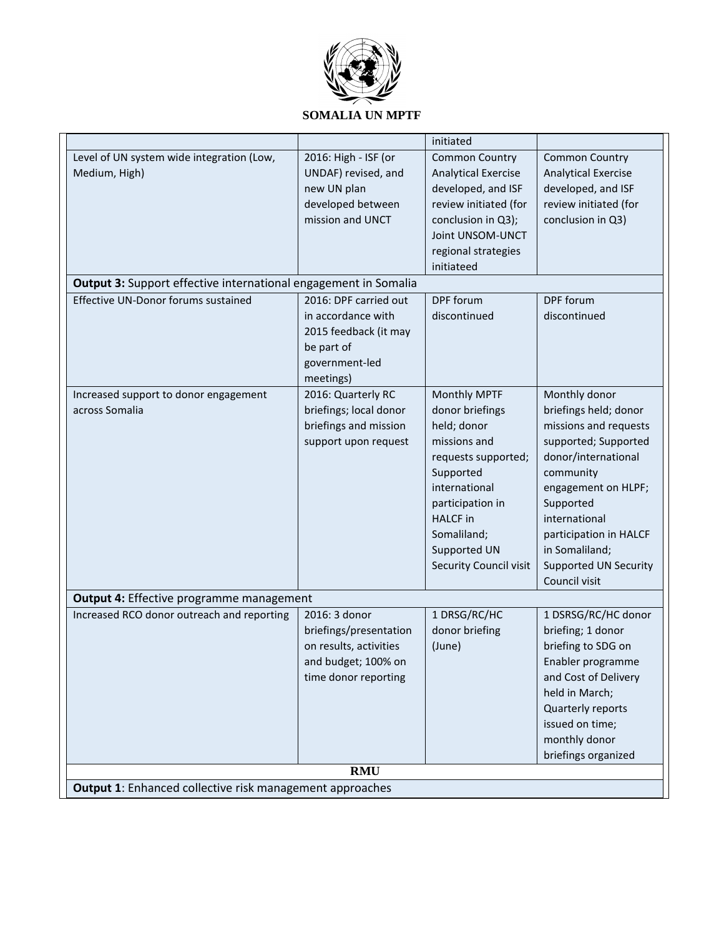

#### initiated Level of UN system wide integration (Low, Medium, High) 2016: High - ISF (or UNDAF) revised, and new UN plan developed between mission and UNCT Common Country Analytical Exercise developed, and ISF review initiated (for conclusion in Q3); Joint UNSOM-UNCT regional strategies initiateed Common Country Analytical Exercise developed, and ISF review initiated (for conclusion in Q3) **Output 3:** Support effective international engagement in Somalia Effective UN-Donor forums sustained 2016: DPF carried out in accordance with 2015 feedback (it may be part of government-led meetings) DPF forum discontinued DPF forum discontinued Increased support to donor engagement across Somalia 2016: Quarterly RC briefings; local donor briefings and mission support upon request Monthly MPTF donor briefings held; donor missions and requests supported; Supported international participation in HALCF in Somaliland; Supported UN Security Council visit Monthly donor briefings held; donor missions and requests supported; Supported donor/international community engagement on HLPF; Supported international participation in HALCF in Somaliland; Supported UN Security Council visit **Output 4:** Effective programme management Increased RCO donor outreach and reporting 2016: 3 donor briefings/presentation on results, activities and budget; 100% on time donor reporting 1 DRSG/RC/HC donor briefing (June) 1 DSRSG/RC/HC donor briefing; 1 donor briefing to SDG on Enabler programme and Cost of Delivery held in March; Quarterly reports issued on time; monthly donor briefings organized **RMU Output 1**: Enhanced collective risk management approaches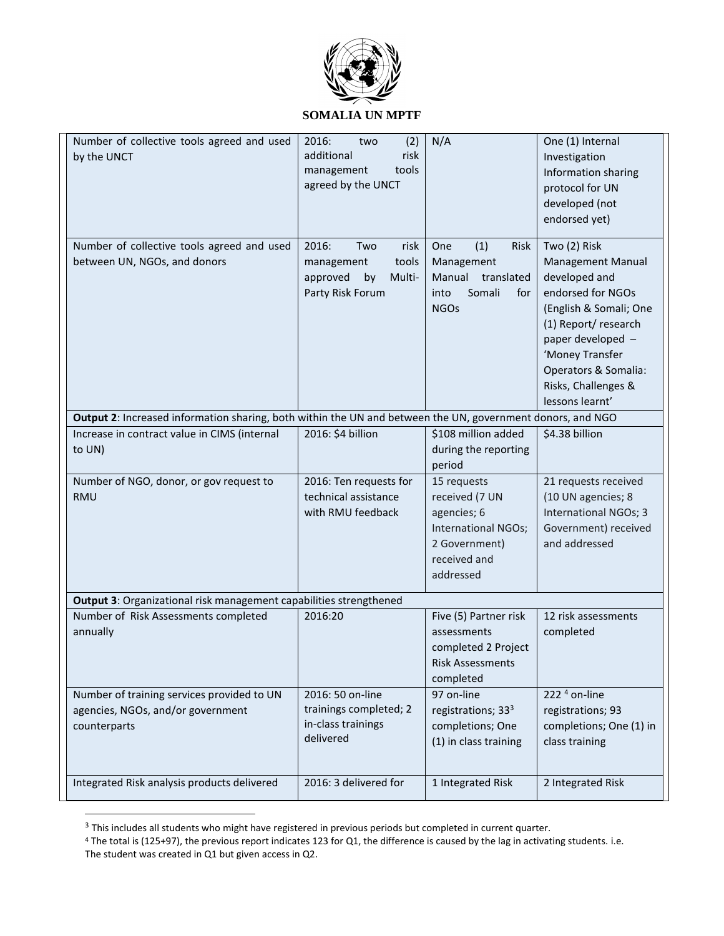

| Number of collective tools agreed and used<br>by the UNCT                                                  | 2016:<br>(2)<br>two<br>additional<br>risk<br>tools<br>management<br>agreed by the UNCT      | N/A                                                                                                               | One (1) Internal<br>Investigation<br>Information sharing<br>protocol for UN<br>developed (not<br>endorsed yet)                                                                                                                     |
|------------------------------------------------------------------------------------------------------------|---------------------------------------------------------------------------------------------|-------------------------------------------------------------------------------------------------------------------|------------------------------------------------------------------------------------------------------------------------------------------------------------------------------------------------------------------------------------|
| Number of collective tools agreed and used<br>between UN, NGOs, and donors                                 | 2016:<br>Two<br>risk<br>tools<br>management<br>approved<br>by<br>Multi-<br>Party Risk Forum | (1)<br>Risk<br>One<br>Management<br>Manual<br>translated<br>Somali<br>into<br>for<br><b>NGOs</b>                  | Two (2) Risk<br>Management Manual<br>developed and<br>endorsed for NGOs<br>(English & Somali; One<br>(1) Report/research<br>paper developed -<br>'Money Transfer<br>Operators & Somalia:<br>Risks, Challenges &<br>lessons learnt' |
| Output 2: Increased information sharing, both within the UN and between the UN, government donors, and NGO |                                                                                             |                                                                                                                   |                                                                                                                                                                                                                                    |
| Increase in contract value in CIMS (internal                                                               | 2016: \$4 billion                                                                           | \$108 million added                                                                                               | \$4.38 billion                                                                                                                                                                                                                     |
| to UN)                                                                                                     |                                                                                             | during the reporting<br>period                                                                                    |                                                                                                                                                                                                                                    |
| Number of NGO, donor, or gov request to<br><b>RMU</b>                                                      | 2016: Ten requests for<br>technical assistance<br>with RMU feedback                         | 15 requests<br>received (7 UN<br>agencies; 6<br>International NGOs;<br>2 Government)<br>received and<br>addressed | 21 requests received<br>(10 UN agencies; 8<br>International NGOs; 3<br>Government) received<br>and addressed                                                                                                                       |
| Output 3: Organizational risk management capabilities strengthened                                         |                                                                                             |                                                                                                                   |                                                                                                                                                                                                                                    |
| Number of Risk Assessments completed<br>annually                                                           | 2016:20                                                                                     | Five (5) Partner risk<br>assessments<br>completed 2 Project<br><b>Risk Assessments</b><br>completed               | 12 risk assessments<br>completed                                                                                                                                                                                                   |
| Number of training services provided to UN<br>agencies, NGOs, and/or government<br>counterparts            | 2016: 50 on-line<br>trainings completed; 2<br>in-class trainings<br>delivered               | 97 on-line<br>registrations; 33 <sup>3</sup><br>completions; One<br>(1) in class training                         | 222 $4$ on-line<br>registrations; 93<br>completions; One (1) in<br>class training                                                                                                                                                  |
| Integrated Risk analysis products delivered                                                                | 2016: 3 delivered for                                                                       | 1 Integrated Risk                                                                                                 | 2 Integrated Risk                                                                                                                                                                                                                  |

 $3$  This includes all students who might have registered in previous periods but completed in current quarter.

 $\overline{a}$ 

<sup>4</sup> The total is (125+97), the previous report indicates 123 for Q1, the difference is caused by the lag in activating students. i.e.

The student was created in Q1 but given access in Q2.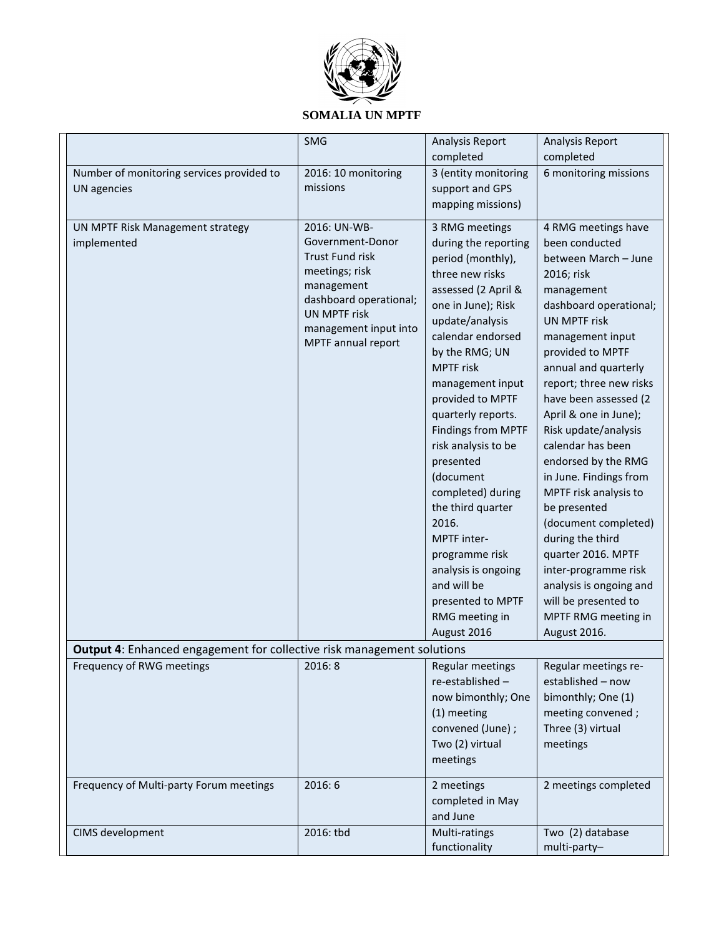

|                                                                        | SMG                                  | Analysis Report                                  | Analysis Report                           |
|------------------------------------------------------------------------|--------------------------------------|--------------------------------------------------|-------------------------------------------|
|                                                                        |                                      | completed                                        | completed                                 |
| Number of monitoring services provided to                              | 2016: 10 monitoring                  | 3 (entity monitoring                             | 6 monitoring missions                     |
| UN agencies                                                            | missions                             | support and GPS                                  |                                           |
|                                                                        |                                      | mapping missions)                                |                                           |
| UN MPTF Risk Management strategy                                       | 2016: UN-WB-                         | 3 RMG meetings                                   | 4 RMG meetings have                       |
| implemented                                                            | Government-Donor                     | during the reporting                             | been conducted                            |
|                                                                        | <b>Trust Fund risk</b>               | period (monthly),                                | between March - June                      |
|                                                                        | meetings; risk                       | three new risks                                  | 2016; risk                                |
|                                                                        | management<br>dashboard operational; | assessed (2 April &                              | management                                |
|                                                                        | <b>UN MPTF risk</b>                  | one in June); Risk                               | dashboard operational;                    |
|                                                                        | management input into                | update/analysis                                  | <b>UN MPTF risk</b>                       |
|                                                                        | MPTF annual report                   | calendar endorsed                                | management input                          |
|                                                                        |                                      | by the RMG; UN                                   | provided to MPTF                          |
|                                                                        |                                      | <b>MPTF</b> risk                                 | annual and quarterly                      |
|                                                                        |                                      | management input                                 | report; three new risks                   |
|                                                                        |                                      | provided to MPTF                                 | have been assessed (2                     |
|                                                                        |                                      | quarterly reports.                               | April & one in June);                     |
|                                                                        |                                      | <b>Findings from MPTF</b><br>risk analysis to be | Risk update/analysis<br>calendar has been |
|                                                                        |                                      | presented                                        | endorsed by the RMG                       |
|                                                                        |                                      | (document                                        | in June. Findings from                    |
|                                                                        |                                      | completed) during                                | MPTF risk analysis to                     |
|                                                                        |                                      | the third quarter                                | be presented                              |
|                                                                        |                                      | 2016.                                            | (document completed)                      |
|                                                                        |                                      | MPTF inter-                                      | during the third                          |
|                                                                        |                                      | programme risk                                   | quarter 2016. MPTF                        |
|                                                                        |                                      | analysis is ongoing                              | inter-programme risk                      |
|                                                                        |                                      | and will be                                      | analysis is ongoing and                   |
|                                                                        |                                      | presented to MPTF                                | will be presented to                      |
|                                                                        |                                      | RMG meeting in                                   | MPTF RMG meeting in                       |
|                                                                        |                                      | August 2016                                      | August 2016.                              |
| Output 4: Enhanced engagement for collective risk management solutions |                                      |                                                  |                                           |
| Frequency of RWG meetings                                              | 2016: 8                              | <b>Regular meetings</b>                          | Regular meetings re-                      |
|                                                                        |                                      | re-established-                                  | established - now                         |
|                                                                        |                                      | now bimonthly; One                               | bimonthly; One (1)                        |
|                                                                        |                                      | (1) meeting                                      | meeting convened;                         |
|                                                                        |                                      | convened (June) ;                                | Three (3) virtual                         |
|                                                                        |                                      | Two (2) virtual                                  | meetings                                  |
|                                                                        |                                      | meetings                                         |                                           |
| Frequency of Multi-party Forum meetings                                | 2016:6                               | 2 meetings                                       | 2 meetings completed                      |
|                                                                        |                                      | completed in May                                 |                                           |
|                                                                        |                                      | and June                                         |                                           |
| CIMS development                                                       | 2016: tbd                            | Multi-ratings                                    | Two (2) database                          |
|                                                                        |                                      | functionality                                    | multi-party-                              |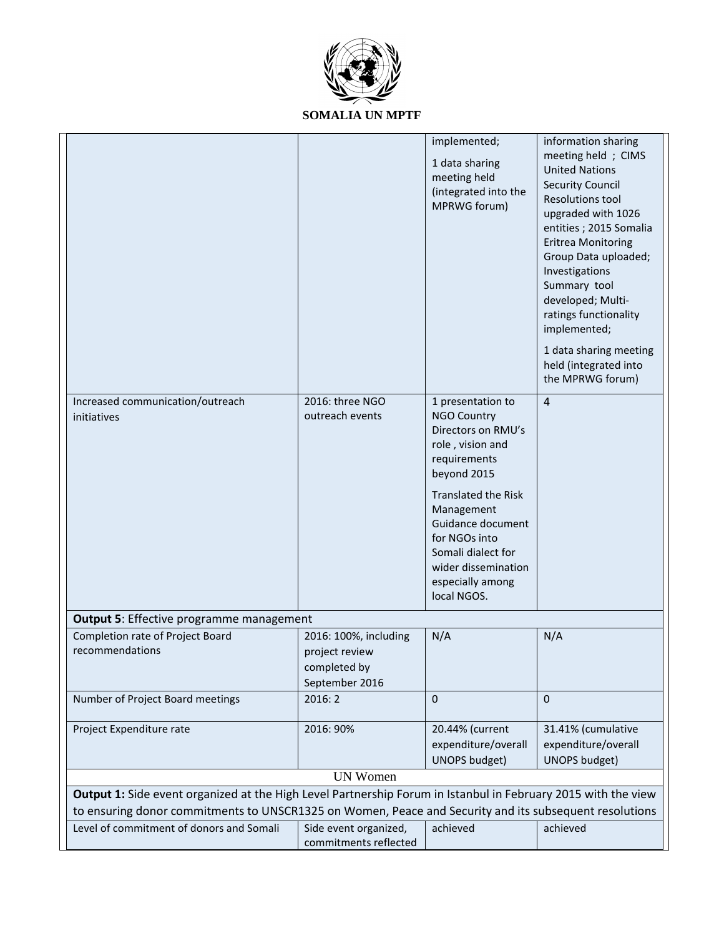

| Increased communication/outreach<br>initiatives                                                                                                    | 2016: three NGO<br>outreach events                                        | implemented;<br>1 data sharing<br>meeting held<br>(integrated into the<br>MPRWG forum)<br>1 presentation to<br><b>NGO Country</b><br>Directors on RMU's        | information sharing<br>meeting held ; CIMS<br><b>United Nations</b><br><b>Security Council</b><br><b>Resolutions tool</b><br>upgraded with 1026<br>entities; 2015 Somalia<br><b>Eritrea Monitoring</b><br>Group Data uploaded;<br>Investigations<br>Summary tool<br>developed; Multi-<br>ratings functionality<br>implemented;<br>1 data sharing meeting<br>held (integrated into<br>the MPRWG forum)<br>$\overline{4}$ |
|----------------------------------------------------------------------------------------------------------------------------------------------------|---------------------------------------------------------------------------|----------------------------------------------------------------------------------------------------------------------------------------------------------------|-------------------------------------------------------------------------------------------------------------------------------------------------------------------------------------------------------------------------------------------------------------------------------------------------------------------------------------------------------------------------------------------------------------------------|
|                                                                                                                                                    |                                                                           | role, vision and<br>requirements<br>beyond 2015                                                                                                                |                                                                                                                                                                                                                                                                                                                                                                                                                         |
|                                                                                                                                                    |                                                                           | <b>Translated the Risk</b><br>Management<br>Guidance document<br>for NGOs into<br>Somali dialect for<br>wider dissemination<br>especially among<br>local NGOS. |                                                                                                                                                                                                                                                                                                                                                                                                                         |
| <b>Output 5: Effective programme management</b>                                                                                                    |                                                                           |                                                                                                                                                                |                                                                                                                                                                                                                                                                                                                                                                                                                         |
| Completion rate of Project Board<br>recommendations                                                                                                | 2016: 100%, including<br>project review<br>completed by<br>September 2016 | N/A                                                                                                                                                            | N/A                                                                                                                                                                                                                                                                                                                                                                                                                     |
| Number of Project Board meetings                                                                                                                   | 2016:2                                                                    | $\mathbf{0}$                                                                                                                                                   | $\mathbf{0}$                                                                                                                                                                                                                                                                                                                                                                                                            |
| Project Expenditure rate                                                                                                                           | 2016: 90%                                                                 | 20.44% (current<br>expenditure/overall<br><b>UNOPS budget)</b>                                                                                                 | 31.41% (cumulative<br>expenditure/overall<br><b>UNOPS budget)</b>                                                                                                                                                                                                                                                                                                                                                       |
|                                                                                                                                                    | <b>UN Women</b>                                                           |                                                                                                                                                                |                                                                                                                                                                                                                                                                                                                                                                                                                         |
| Output 1: Side event organized at the High Level Partnership Forum in Istanbul in February 2015 with the view                                      |                                                                           |                                                                                                                                                                |                                                                                                                                                                                                                                                                                                                                                                                                                         |
| to ensuring donor commitments to UNSCR1325 on Women, Peace and Security and its subsequent resolutions<br>Level of commitment of donors and Somali | Side event organized,<br>commitments reflected                            | achieved                                                                                                                                                       | achieved                                                                                                                                                                                                                                                                                                                                                                                                                |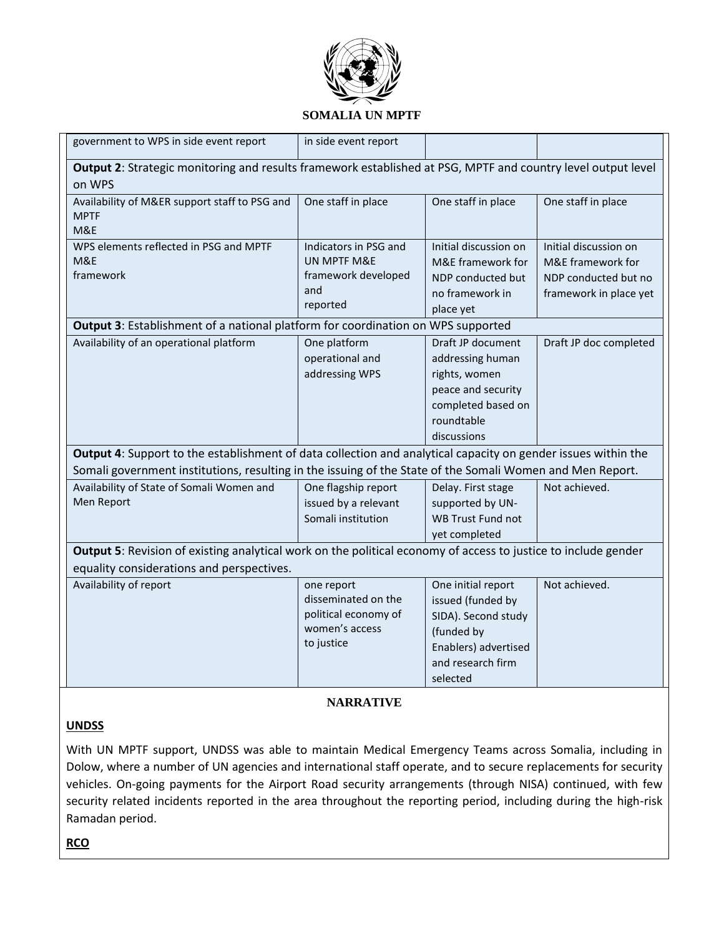

| government to WPS in side event report                                                                                                                                                                                                                                                                                           | in side event report                                                                                                   |                                                                                                                                                                                                       |                                                                                              |
|----------------------------------------------------------------------------------------------------------------------------------------------------------------------------------------------------------------------------------------------------------------------------------------------------------------------------------|------------------------------------------------------------------------------------------------------------------------|-------------------------------------------------------------------------------------------------------------------------------------------------------------------------------------------------------|----------------------------------------------------------------------------------------------|
| Output 2: Strategic monitoring and results framework established at PSG, MPTF and country level output level<br>on WPS                                                                                                                                                                                                           |                                                                                                                        |                                                                                                                                                                                                       |                                                                                              |
| Availability of M&ER support staff to PSG and<br><b>MPTF</b><br>M&E                                                                                                                                                                                                                                                              | One staff in place                                                                                                     | One staff in place                                                                                                                                                                                    | One staff in place                                                                           |
| WPS elements reflected in PSG and MPTF<br>M&E<br>framework                                                                                                                                                                                                                                                                       | Indicators in PSG and<br>UN MPTF M&E<br>framework developed<br>and<br>reported                                         | Initial discussion on<br>M&E framework for<br>NDP conducted but<br>no framework in<br>place yet                                                                                                       | Initial discussion on<br>M&E framework for<br>NDP conducted but no<br>framework in place yet |
| Output 3: Establishment of a national platform for coordination on WPS supported                                                                                                                                                                                                                                                 |                                                                                                                        |                                                                                                                                                                                                       |                                                                                              |
| Availability of an operational platform<br>Output 4: Support to the establishment of data collection and analytical capacity on gender issues within the<br>Somali government institutions, resulting in the issuing of the State of the Somali Women and Men Report.<br>Availability of State of Somali Women and<br>Men Report | One platform<br>operational and<br>addressing WPS<br>One flagship report<br>issued by a relevant<br>Somali institution | Draft JP document<br>addressing human<br>rights, women<br>peace and security<br>completed based on<br>roundtable<br>discussions<br>Delay. First stage<br>supported by UN-<br><b>WB Trust Fund not</b> | Draft JP doc completed<br>Not achieved.                                                      |
| Output 5: Revision of existing analytical work on the political economy of access to justice to include gender                                                                                                                                                                                                                   |                                                                                                                        | yet completed                                                                                                                                                                                         |                                                                                              |
| equality considerations and perspectives.                                                                                                                                                                                                                                                                                        |                                                                                                                        |                                                                                                                                                                                                       |                                                                                              |
| Availability of report                                                                                                                                                                                                                                                                                                           | one report<br>disseminated on the<br>political economy of<br>women's access<br>to justice                              | One initial report<br>issued (funded by<br>SIDA). Second study<br>(funded by<br>Enablers) advertised<br>and research firm<br>selected                                                                 | Not achieved.                                                                                |

# **NARRATIVE**

#### **UNDSS**

With UN MPTF support, UNDSS was able to maintain Medical Emergency Teams across Somalia, including in Dolow, where a number of UN agencies and international staff operate, and to secure replacements for security vehicles. On-going payments for the Airport Road security arrangements (through NISA) continued, with few security related incidents reported in the area throughout the reporting period, including during the high-risk Ramadan period.

**RCO**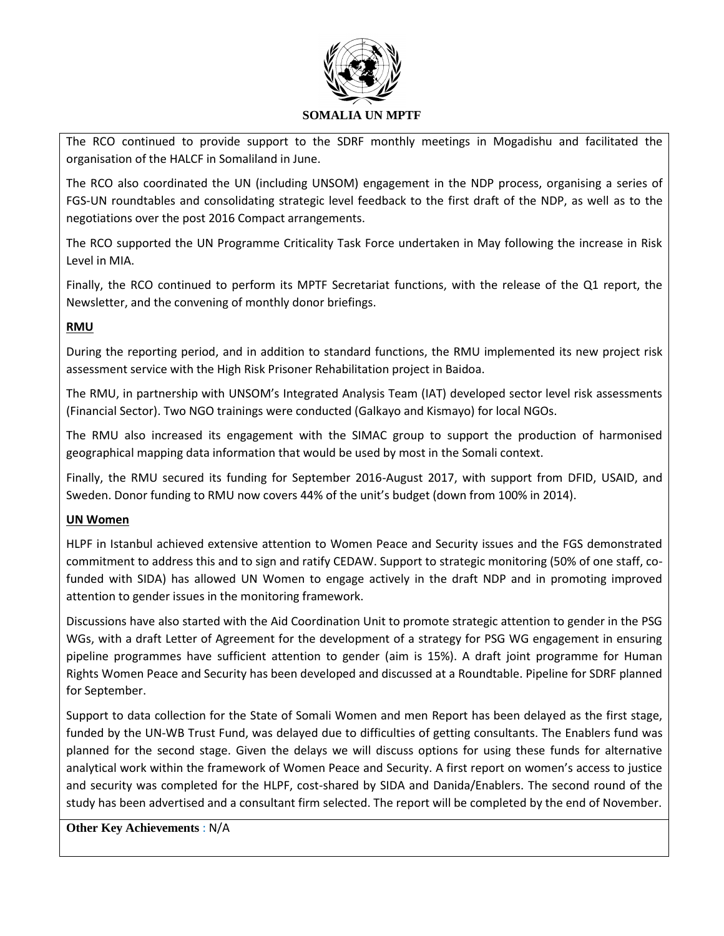

The RCO continued to provide support to the SDRF monthly meetings in Mogadishu and facilitated the organisation of the HALCF in Somaliland in June.

The RCO also coordinated the UN (including UNSOM) engagement in the NDP process, organising a series of FGS-UN roundtables and consolidating strategic level feedback to the first draft of the NDP, as well as to the negotiations over the post 2016 Compact arrangements.

The RCO supported the UN Programme Criticality Task Force undertaken in May following the increase in Risk Level in MIA.

Finally, the RCO continued to perform its MPTF Secretariat functions, with the release of the Q1 report, the Newsletter, and the convening of monthly donor briefings.

# **RMU**

During the reporting period, and in addition to standard functions, the RMU implemented its new project risk assessment service with the High Risk Prisoner Rehabilitation project in Baidoa.

The RMU, in partnership with UNSOM's Integrated Analysis Team (IAT) developed sector level risk assessments (Financial Sector). Two NGO trainings were conducted (Galkayo and Kismayo) for local NGOs.

The RMU also increased its engagement with the SIMAC group to support the production of harmonised geographical mapping data information that would be used by most in the Somali context.

Finally, the RMU secured its funding for September 2016-August 2017, with support from DFID, USAID, and Sweden. Donor funding to RMU now covers 44% of the unit's budget (down from 100% in 2014).

#### **UN Women**

HLPF in Istanbul achieved extensive attention to Women Peace and Security issues and the FGS demonstrated commitment to address this and to sign and ratify CEDAW. Support to strategic monitoring (50% of one staff, cofunded with SIDA) has allowed UN Women to engage actively in the draft NDP and in promoting improved attention to gender issues in the monitoring framework.

Discussions have also started with the Aid Coordination Unit to promote strategic attention to gender in the PSG WGs, with a draft Letter of Agreement for the development of a strategy for PSG WG engagement in ensuring pipeline programmes have sufficient attention to gender (aim is 15%). A draft joint programme for Human Rights Women Peace and Security has been developed and discussed at a Roundtable. Pipeline for SDRF planned for September.

Support to data collection for the State of Somali Women and men Report has been delayed as the first stage, funded by the UN-WB Trust Fund, was delayed due to difficulties of getting consultants. The Enablers fund was planned for the second stage. Given the delays we will discuss options for using these funds for alternative analytical work within the framework of Women Peace and Security. A first report on women's access to justice and security was completed for the HLPF, cost-shared by SIDA and Danida/Enablers. The second round of the study has been advertised and a consultant firm selected. The report will be completed by the end of November.

**Other Key Achievements** : N/A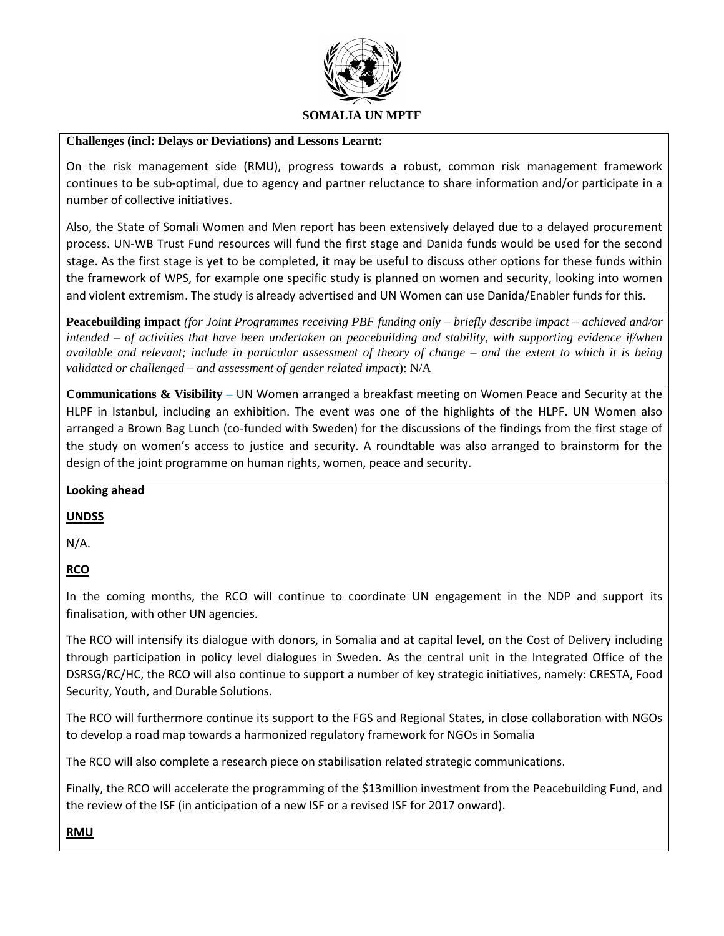

#### **Challenges (incl: Delays or Deviations) and Lessons Learnt:**

On the risk management side (RMU), progress towards a robust, common risk management framework continues to be sub-optimal, due to agency and partner reluctance to share information and/or participate in a number of collective initiatives.

Also, the State of Somali Women and Men report has been extensively delayed due to a delayed procurement process. UN-WB Trust Fund resources will fund the first stage and Danida funds would be used for the second stage. As the first stage is yet to be completed, it may be useful to discuss other options for these funds within the framework of WPS, for example one specific study is planned on women and security, looking into women and violent extremism. The study is already advertised and UN Women can use Danida/Enabler funds for this.

**Peacebuilding impact** *(for Joint Programmes receiving PBF funding only – briefly describe impact – achieved and/or intended – of activities that have been undertaken on peacebuilding and stability, with supporting evidence if/when available and relevant; include in particular assessment of theory of change – and the extent to which it is being validated or challenged – and assessment of gender related impact*): N/A

**Communications & Visibility** *–* UN Women arranged a breakfast meeting on Women Peace and Security at the HLPF in Istanbul, including an exhibition. The event was one of the highlights of the HLPF. UN Women also arranged a Brown Bag Lunch (co-funded with Sweden) for the discussions of the findings from the first stage of the study on women's access to justice and security. A roundtable was also arranged to brainstorm for the design of the joint programme on human rights, women, peace and security.

#### **Looking ahead**

#### **UNDSS**

N/A.

# **RCO**

In the coming months, the RCO will continue to coordinate UN engagement in the NDP and support its finalisation, with other UN agencies.

The RCO will intensify its dialogue with donors, in Somalia and at capital level, on the Cost of Delivery including through participation in policy level dialogues in Sweden. As the central unit in the Integrated Office of the DSRSG/RC/HC, the RCO will also continue to support a number of key strategic initiatives, namely: CRESTA, Food Security, Youth, and Durable Solutions.

The RCO will furthermore continue its support to the FGS and Regional States, in close collaboration with NGOs to develop a road map towards a harmonized regulatory framework for NGOs in Somalia

The RCO will also complete a research piece on stabilisation related strategic communications.

Finally, the RCO will accelerate the programming of the \$13million investment from the Peacebuilding Fund, and the review of the ISF (in anticipation of a new ISF or a revised ISF for 2017 onward).

#### **RMU**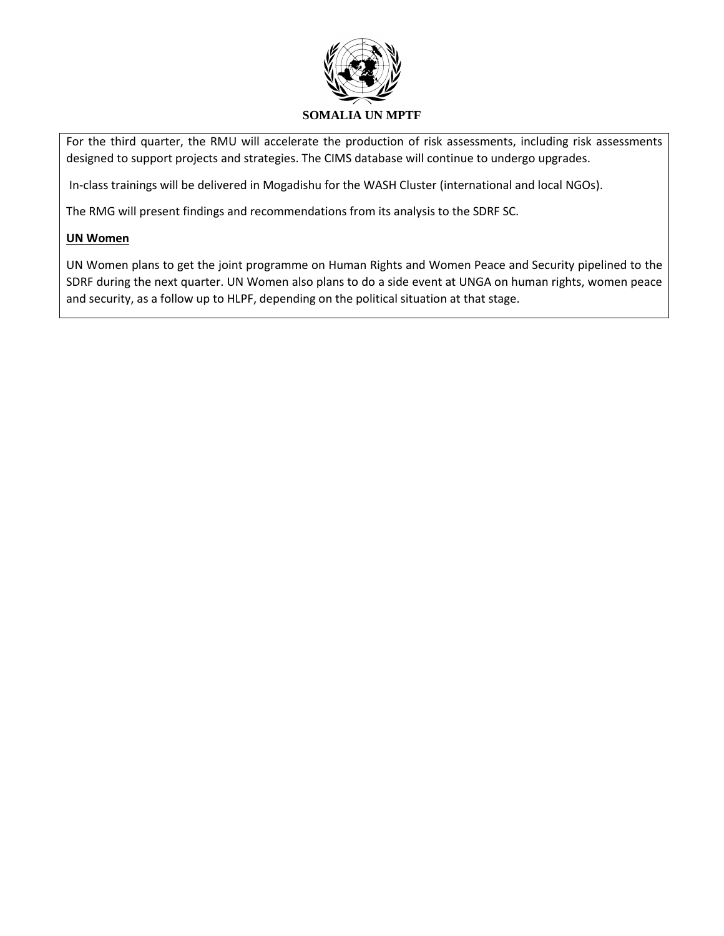

For the third quarter, the RMU will accelerate the production of risk assessments, including risk assessments designed to support projects and strategies. The CIMS database will continue to undergo upgrades.

In-class trainings will be delivered in Mogadishu for the WASH Cluster (international and local NGOs).

The RMG will present findings and recommendations from its analysis to the SDRF SC.

#### **UN Women**

UN Women plans to get the joint programme on Human Rights and Women Peace and Security pipelined to the SDRF during the next quarter. UN Women also plans to do a side event at UNGA on human rights, women peace and security, as a follow up to HLPF, depending on the political situation at that stage.